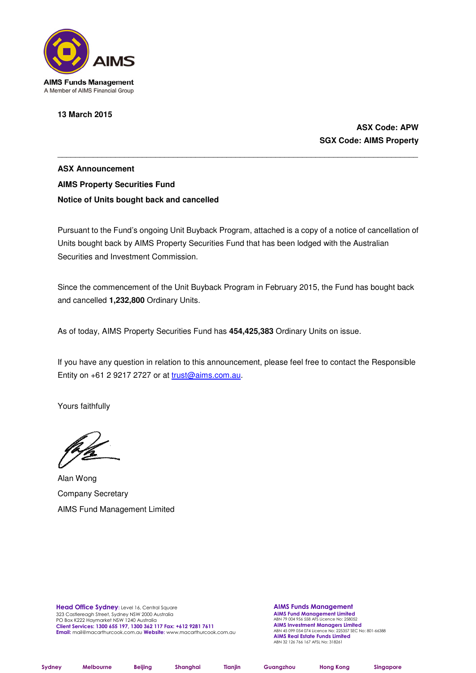

**13 March 2015** 

**ASX Code: APW SGX Code: AIMS Property** 

**ASX Announcement AIMS Property Securities Fund Notice of Units bought back and cancelled** 

Pursuant to the Fund's ongoing Unit Buyback Program, attached is a copy of a notice of cancellation of Units bought back by AIMS Property Securities Fund that has been lodged with the Australian Securities and Investment Commission.

\_\_\_\_\_\_\_\_\_\_\_\_\_\_\_\_\_\_\_\_\_\_\_\_\_\_\_\_\_\_\_\_\_\_\_\_\_\_\_\_\_\_\_\_\_\_\_\_\_\_\_\_\_\_\_\_\_\_\_\_\_\_\_\_\_\_\_\_\_\_\_\_\_\_\_\_\_\_\_\_\_

Since the commencement of the Unit Buyback Program in February 2015, the Fund has bought back and cancelled **1,232,800** Ordinary Units.

As of today, AIMS Property Securities Fund has **454,425,383** Ordinary Units on issue.

If you have any question in relation to this announcement, please feel free to contact the Responsible Entity on  $+61$  2 9217 2727 or at trust@aims.com.au.

Yours faithfully

Alan Wong Company Secretary AIMS Fund Management Limited

Head Office Sydney: Level 16, Central Square 323 Castlereagh Street, Sydney NSW 2000 Australia PO Box K222 Haymarket NSW 1240 Australia Client Services: 1300 655 197, 1300 362 117 Fax: +612 9281 7611 Email: mail@macarthurcook.com.au Website: www.macarthurcook.com.au AIMS Funds Management **AIMS Fund Management Limited**<br>ABN 79 004 956 558 AFS Licence No: 258052 **AIMS Investment Managers Limited**<br>ABN 45 099 054 074 Licence No: 225357 SEC No: 801-66388 **AIMS Real Estate Funds Limited**<br>ABN 32 126 766 167 AFSL No: 318261

Sydney Melbourne Beijing Shanghai Tianjin Guangzhou Hong Kong Singapore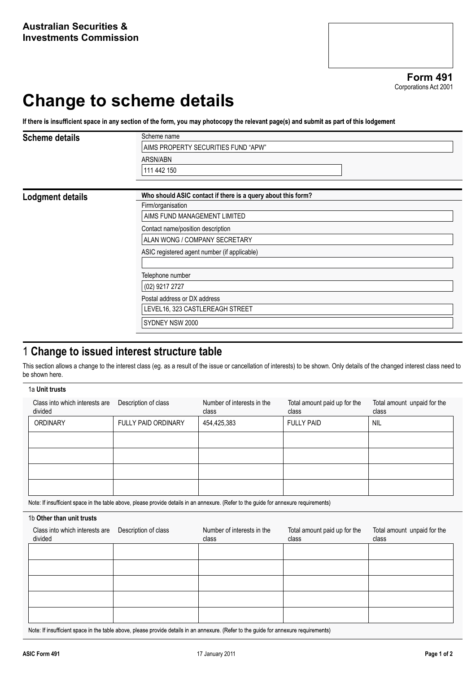**Form 491** Corporations Act 2001

# **Change to scheme details**

If there is insufficient space in any section of the form, you may photocopy the relevant page(s) and submit as part of this lodgement

| <b>Scheme details</b>   | Scheme name                                                  |  |  |  |  |
|-------------------------|--------------------------------------------------------------|--|--|--|--|
|                         | AIMS PROPERTY SECURITIES FUND "APW"                          |  |  |  |  |
|                         | ARSN/ABN                                                     |  |  |  |  |
|                         | 111 442 150                                                  |  |  |  |  |
| <b>Lodgment details</b> | Who should ASIC contact if there is a query about this form? |  |  |  |  |
|                         | Firm/organisation                                            |  |  |  |  |
|                         | AIMS FUND MANAGEMENT LIMITED                                 |  |  |  |  |
|                         | Contact name/position description                            |  |  |  |  |
|                         | ALAN WONG / COMPANY SECRETARY                                |  |  |  |  |
|                         | ASIC registered agent number (if applicable)                 |  |  |  |  |
|                         | Telephone number                                             |  |  |  |  |
|                         | (02) 9217 2727                                               |  |  |  |  |
|                         | Postal address or DX address                                 |  |  |  |  |
|                         | LEVEL16, 323 CASTLEREAGH STREET                              |  |  |  |  |
|                         | SYDNEY NSW 2000                                              |  |  |  |  |

### 1 **Change to issued interest structure table**

This section allows a change to the interest class (eg. as a result of the issue or cancellation of interests) to be shown. Only details of the changed interest class need to be shown here.

#### 1a **Unit trusts**

| Class into which interests are<br>divided | Description of class       | Number of interests in the<br>class | Total amount paid up for the<br>class | Total amount unpaid for the<br>class |
|-------------------------------------------|----------------------------|-------------------------------------|---------------------------------------|--------------------------------------|
| <b>ORDINARY</b>                           | <b>FULLY PAID ORDINARY</b> | 454,425,383                         | <b>FULLY PAID</b>                     | <b>NIL</b>                           |
|                                           |                            |                                     |                                       |                                      |
|                                           |                            |                                     |                                       |                                      |
|                                           |                            |                                     |                                       |                                      |
|                                           |                            |                                     |                                       |                                      |

Note: If insufficient space in the table above, please provide details in an annexure. (Refer to the guide for annexure requirements)

#### 1b **Other than unit trusts**

| Class into which interests are<br>divided | Description of class | Number of interests in the<br>class | Total amount paid up for the<br>class | Total amount unpaid for the<br>class |
|-------------------------------------------|----------------------|-------------------------------------|---------------------------------------|--------------------------------------|
|                                           |                      |                                     |                                       |                                      |
|                                           |                      |                                     |                                       |                                      |
|                                           |                      |                                     |                                       |                                      |
|                                           |                      |                                     |                                       |                                      |
|                                           |                      |                                     |                                       |                                      |

Note: If insufficient space in the table above, please provide details in an annexure. (Refer to the guide for annexure requirements)